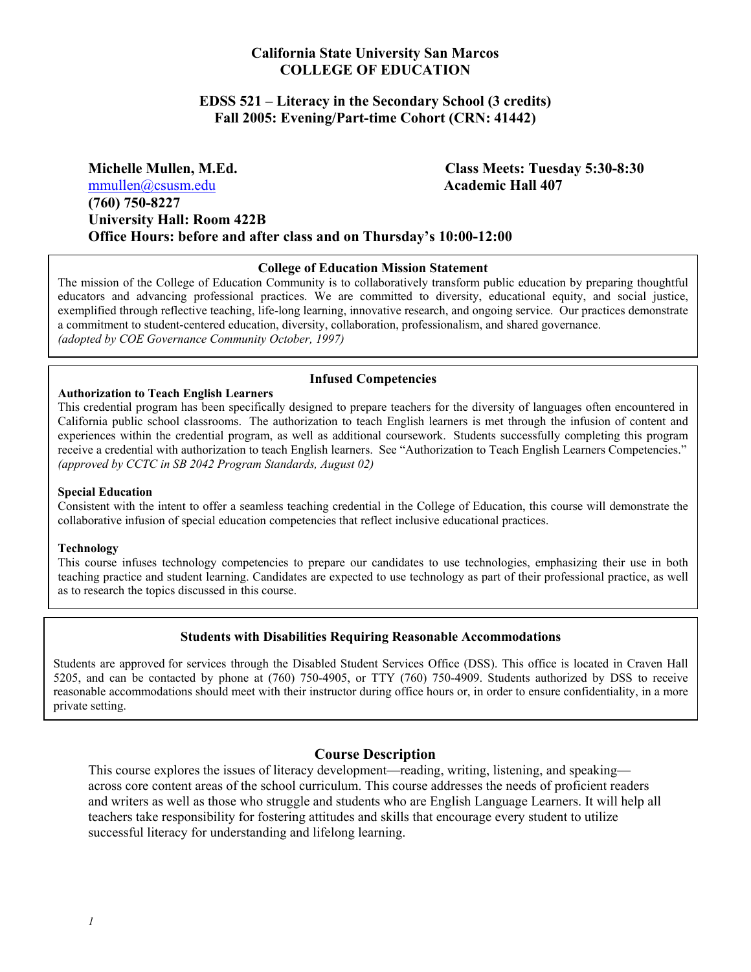#### **California State University San Marcos COLLEGE OF EDUCATION**

#### **EDSS 521 – Literacy in the Secondary School (3 credits) Fall 2005: Evening/Part-time Cohort (CRN: 41442)**

**Michelle Mullen, M.Ed. Class Meets: Tuesday 5:30-8:30**  mmullen@csusm.edu **Academic Hall 407 (760) 750-8227 University Hall: Room 422B Office Hours: before and after class and on Thursday's 10:00-12:00** 

#### **College of Education Mission Statement**

The mission of the College of Education Community is to collaboratively transform public education by preparing thoughtful educators and advancing professional practices. We are committed to diversity, educational equity, and social justice, exemplified through reflective teaching, life-long learning, innovative research, and ongoing service. Our practices demonstrate a commitment to student-centered education, diversity, collaboration, professionalism, and shared governance. *(adopted by COE Governance Community October, 1997)*

#### **Infused Competencies Authorization to Teach English Learners**

This credential program has been specifically designed to prepare teachers for the diversity of languages often encountered in California public school classrooms. The authorization to teach English learners is met through the infusion of content and experiences within the credential program, as well as additional coursework. Students successfully completing this program receive a credential with authorization to teach English learners. See "Authorization to Teach English Learners Competencies." *(approved by CCTC in SB 2042 Program Standards, August 02)* 

#### **Special Education**

Consistent with the intent to offer a seamless teaching credential in the College of Education, this course will demonstrate the collaborative infusion of special education competencies that reflect inclusive educational practices.

#### **Technology**

This course infuses technology competencies to prepare our candidates to use technologies, emphasizing their use in both teaching practice and student learning. Candidates are expected to use technology as part of their professional practice, as well as to research the topics discussed in this course.

#### **Students with Disabilities Requiring Reasonable Accommodations**

Students are approved for services through the Disabled Student Services Office (DSS). This office is located in Craven Hall 5205, and can be contacted by phone at (760) 750-4905, or TTY (760) 750-4909. Students authorized by DSS to receive reasonable accommodations should meet with their instructor during office hours or, in order to ensure confidentiality, in a more private setting.

#### **Course Description**

This course explores the issues of literacy development—reading, writing, listening, and speaking across core content areas of the school curriculum. This course addresses the needs of proficient readers and writers as well as those who struggle and students who are English Language Learners. It will help all teachers take responsibility for fostering attitudes and skills that encourage every student to utilize successful literacy for understanding and lifelong learning.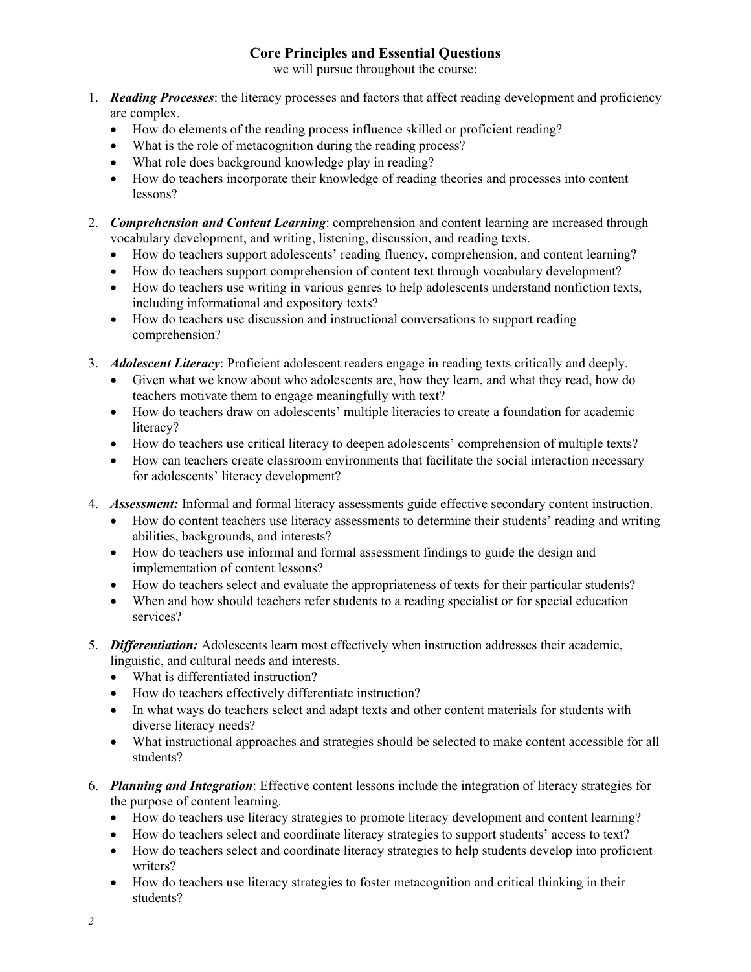## **Core Principles and Essential Questions**

we will pursue throughout the course:

- 1. *Reading Processes*: the literacy processes and factors that affect reading development and proficiency are complex.
	- How do elements of the reading process influence skilled or proficient reading?
	- What is the role of metacognition during the reading process?
	- What role does background knowledge play in reading?
	- How do teachers incorporate their knowledge of reading theories and processes into content lessons?
- 2. *Comprehension and Content Learning*: comprehension and content learning are increased through vocabulary development, and writing, listening, discussion, and reading texts.
	- How do teachers support adolescents' reading fluency, comprehension, and content learning?
	- How do teachers support comprehension of content text through vocabulary development?
	- How do teachers use writing in various genres to help adolescents understand nonfiction texts, including informational and expository texts?
	- How do teachers use discussion and instructional conversations to support reading comprehension?
- 3. *Adolescent Literacy*: Proficient adolescent readers engage in reading texts critically and deeply.
	- Given what we know about who adolescents are, how they learn, and what they read, how do teachers motivate them to engage meaningfully with text?
	- How do teachers draw on adolescents' multiple literacies to create a foundation for academic literacy?
	- How do teachers use critical literacy to deepen adolescents' comprehension of multiple texts?
	- How can teachers create classroom environments that facilitate the social interaction necessary for adolescents' literacy development?
- 4. *Assessment:* Informal and formal literacy assessments guide effective secondary content instruction.
	- How do content teachers use literacy assessments to determine their students' reading and writing abilities, backgrounds, and interests?
	- How do teachers use informal and formal assessment findings to guide the design and implementation of content lessons?
	- How do teachers select and evaluate the appropriateness of texts for their particular students?
	- When and how should teachers refer students to a reading specialist or for special education services?
- 5. *Differentiation:* Adolescents learn most effectively when instruction addresses their academic, linguistic, and cultural needs and interests.
	- What is differentiated instruction?
	- How do teachers effectively differentiate instruction?
	- In what ways do teachers select and adapt texts and other content materials for students with diverse literacy needs?
	- What instructional approaches and strategies should be selected to make content accessible for all students?
- 6. *Planning and Integration*: Effective content lessons include the integration of literacy strategies for the purpose of content learning.
	- How do teachers use literacy strategies to promote literacy development and content learning?
	- How do teachers select and coordinate literacy strategies to support students' access to text?
	- How do teachers select and coordinate literacy strategies to help students develop into proficient writers?
	- How do teachers use literacy strategies to foster metacognition and critical thinking in their students?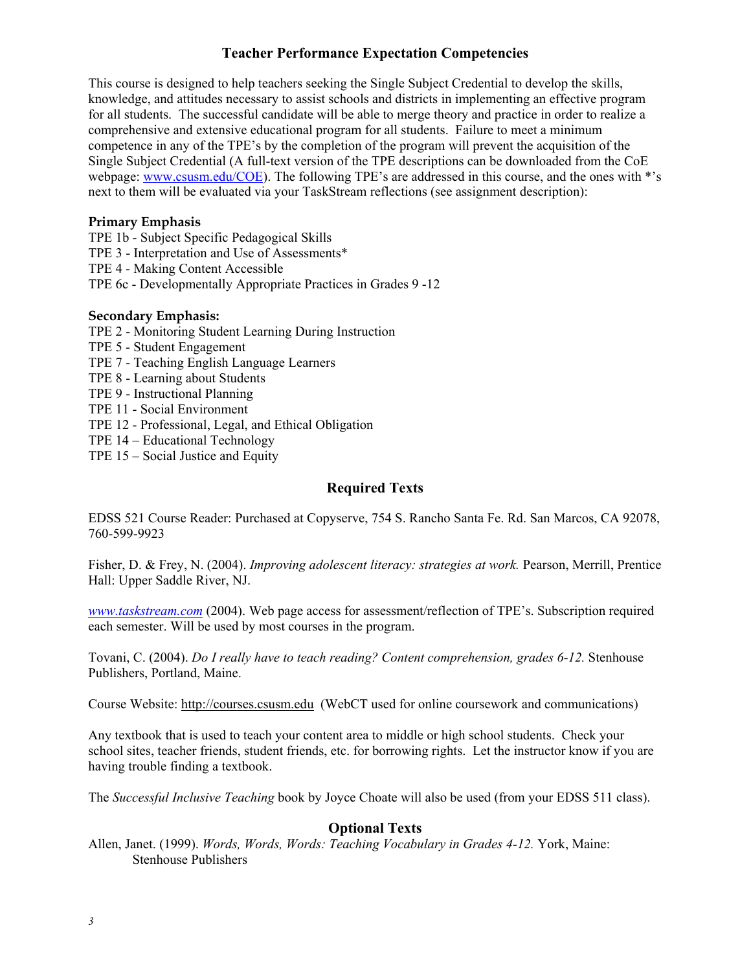## **Teacher Performance Expectation Competencies**

This course is designed to help teachers seeking the Single Subject Credential to develop the skills, knowledge, and attitudes necessary to assist schools and districts in implementing an effective program for all students. The successful candidate will be able to merge theory and practice in order to realize a comprehensive and extensive educational program for all students. Failure to meet a minimum competence in any of the TPE's by the completion of the program will prevent the acquisition of the Single Subject Credential (A full-text version of the TPE descriptions can be downloaded from the CoE webpage: www.csusm.edu/COE). The following TPE's are addressed in this course, and the ones with \*'s next to them will be evaluated via your TaskStream reflections (see assignment description):

#### **Primary Emphasis**

TPE 1b - Subject Specific Pedagogical Skills

TPE 3 - Interpretation and Use of Assessments\*

TPE 4 - Making Content Accessible

TPE 6c - Developmentally Appropriate Practices in Grades 9 -12

#### **Secondary Emphasis:**

TPE 2 - Monitoring Student Learning During Instruction

TPE 5 - Student Engagement

TPE 7 - Teaching English Language Learners

TPE 8 - Learning about Students

TPE 9 - Instructional Planning

TPE 11 - Social Environment

TPE 12 - Professional, Legal, and Ethical Obligation

TPE 14 – Educational Technology

TPE 15 – Social Justice and Equity

### **Required Texts**

EDSS 521 Course Reader: Purchased at Copyserve, 754 S. Rancho Santa Fe. Rd. San Marcos, CA 92078, 760-599-9923

Fisher, D. & Frey, N. (2004). *Improving adolescent literacy: strategies at work.* Pearson, Merrill, Prentice Hall: Upper Saddle River, NJ.

*www.taskstream.com* (2004). Web page access for assessment/reflection of TPE's. Subscription required each semester. Will be used by most courses in the program.

Tovani, C. (2004). *Do I really have to teach reading? Content comprehension, grades 6-12.* Stenhouse Publishers, Portland, Maine.

Course Website: http://courses.csusm.edu (WebCT used for online coursework and communications)

Any textbook that is used to teach your content area to middle or high school students. Check your school sites, teacher friends, student friends, etc. for borrowing rights. Let the instructor know if you are having trouble finding a textbook.

The *Successful Inclusive Teaching* book by Joyce Choate will also be used (from your EDSS 511 class).

## **Optional Texts**

Allen, Janet. (1999). *Words, Words, Words: Teaching Vocabulary in Grades 4-12.* York, Maine: Stenhouse Publishers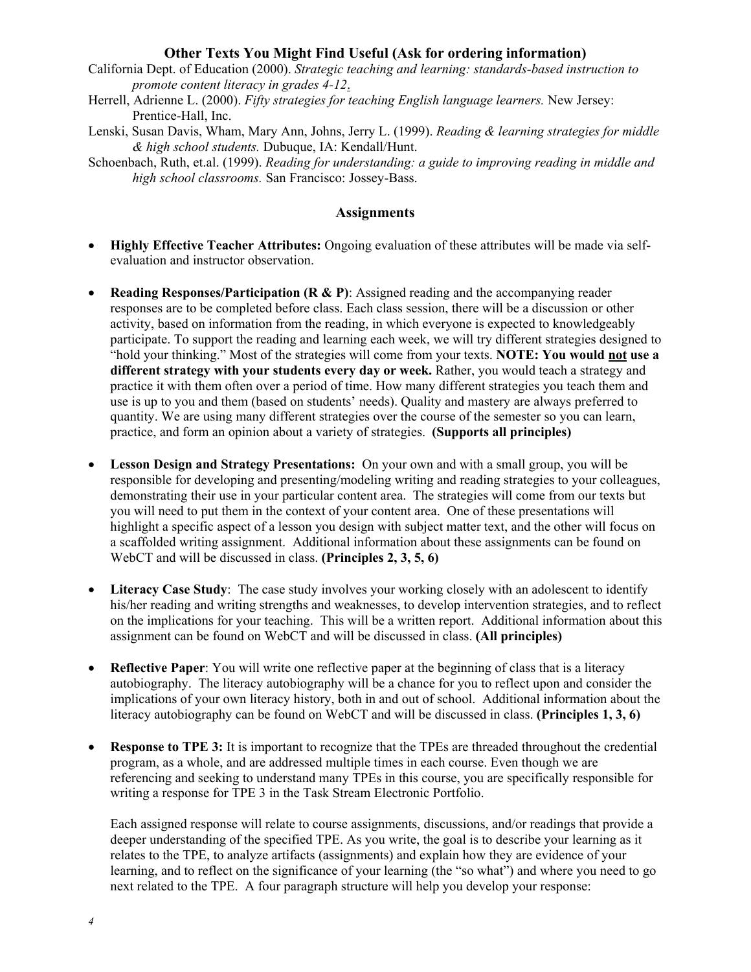#### **Other Texts You Might Find Useful (Ask for ordering information)**

- California Dept. of Education (2000). *Strategic teaching and learning: standards-based instruction to promote content literacy in grades 4-12*.
- Herrell, Adrienne L. (2000). *Fifty strategies for teaching English language learners.* New Jersey: Prentice-Hall, Inc.
- Lenski, Susan Davis, Wham, Mary Ann, Johns, Jerry L. (1999). *Reading & learning strategies for middle & high school students.* Dubuque, IA: Kendall/Hunt.
- Schoenbach, Ruth, et.al. (1999). *Reading for understanding: a guide to improving reading in middle and high school classrooms.* San Francisco: Jossey-Bass.

#### **Assignments**

- **Highly Effective Teacher Attributes:** Ongoing evaluation of these attributes will be made via selfevaluation and instructor observation.
- **Reading Responses/Participation (R & P)**: Assigned reading and the accompanying reader responses are to be completed before class. Each class session, there will be a discussion or other activity, based on information from the reading, in which everyone is expected to knowledgeably participate. To support the reading and learning each week, we will try different strategies designed to "hold your thinking." Most of the strategies will come from your texts. **NOTE: You would not use a different strategy with your students every day or week.** Rather, you would teach a strategy and practice it with them often over a period of time. How many different strategies you teach them and use is up to you and them (based on students' needs). Quality and mastery are always preferred to quantity. We are using many different strategies over the course of the semester so you can learn, practice, and form an opinion about a variety of strategies. **(Supports all principles)**
- **Lesson Design and Strategy Presentations:** On your own and with a small group, you will be responsible for developing and presenting/modeling writing and reading strategies to your colleagues, demonstrating their use in your particular content area. The strategies will come from our texts but you will need to put them in the context of your content area. One of these presentations will highlight a specific aspect of a lesson you design with subject matter text, and the other will focus on a scaffolded writing assignment. Additional information about these assignments can be found on WebCT and will be discussed in class. **(Principles 2, 3, 5, 6)**
- Literacy Case Study: The case study involves your working closely with an adolescent to identify his/her reading and writing strengths and weaknesses, to develop intervention strategies, and to reflect on the implications for your teaching. This will be a written report. Additional information about this assignment can be found on WebCT and will be discussed in class. **(All principles)**
- **Reflective Paper**: You will write one reflective paper at the beginning of class that is a literacy autobiography. The literacy autobiography will be a chance for you to reflect upon and consider the implications of your own literacy history, both in and out of school. Additional information about the literacy autobiography can be found on WebCT and will be discussed in class. **(Principles 1, 3, 6)**
- **Response to TPE 3:** It is important to recognize that the TPEs are threaded throughout the credential program, as a whole, and are addressed multiple times in each course. Even though we are referencing and seeking to understand many TPEs in this course, you are specifically responsible for writing a response for TPE 3 in the Task Stream Electronic Portfolio.

Each assigned response will relate to course assignments, discussions, and/or readings that provide a deeper understanding of the specified TPE. As you write, the goal is to describe your learning as it relates to the TPE, to analyze artifacts (assignments) and explain how they are evidence of your learning, and to reflect on the significance of your learning (the "so what") and where you need to go next related to the TPE. A four paragraph structure will help you develop your response: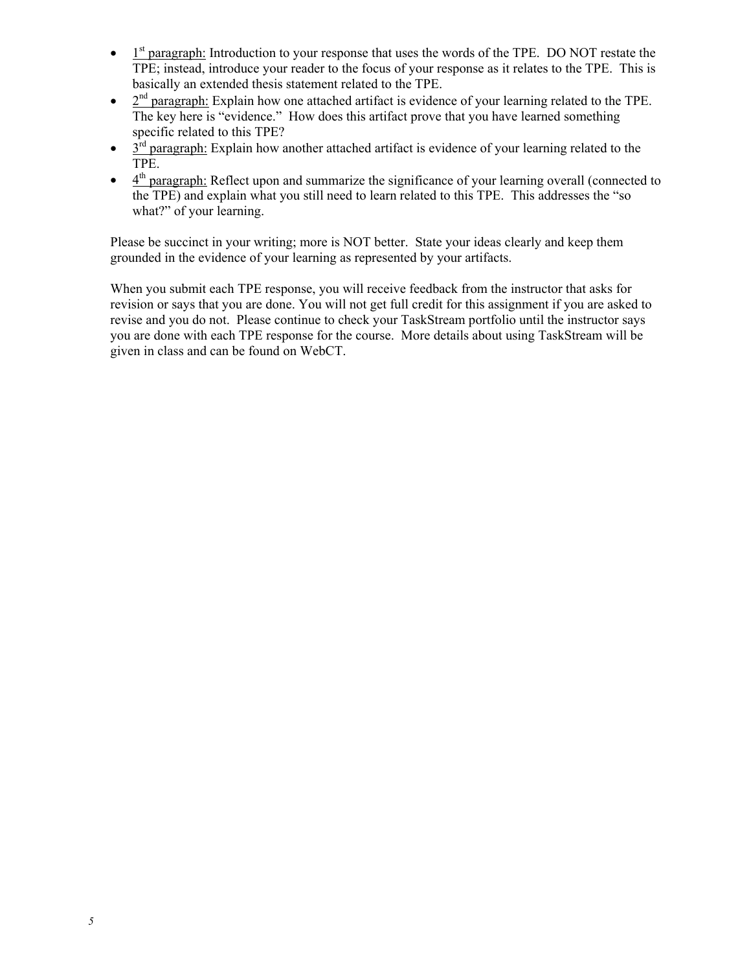- $\bullet$  1<sup>st</sup> paragraph: Introduction to your response that uses the words of the TPE. DO NOT restate the TPE; instead, introduce your reader to the focus of your response as it relates to the TPE. This is basically an extended thesis statement related to the TPE.
- $\bullet$   $2<sup>nd</sup>$  paragraph: Explain how one attached artifact is evidence of your learning related to the TPE. The key here is "evidence." How does this artifact prove that you have learned something specific related to this TPE?
- $\bullet$  3<sup>rd</sup> paragraph: Explain how another attached artifact is evidence of your learning related to the TPE.
- $\bullet$  4<sup>th</sup> paragraph: Reflect upon and summarize the significance of your learning overall (connected to the TPE) and explain what you still need to learn related to this TPE. This addresses the "so what?" of your learning.

Please be succinct in your writing; more is NOT better. State your ideas clearly and keep them grounded in the evidence of your learning as represented by your artifacts.

When you submit each TPE response, you will receive feedback from the instructor that asks for revision or says that you are done. You will not get full credit for this assignment if you are asked to revise and you do not. Please continue to check your TaskStream portfolio until the instructor says you are done with each TPE response for the course. More details about using TaskStream will be given in class and can be found on WebCT.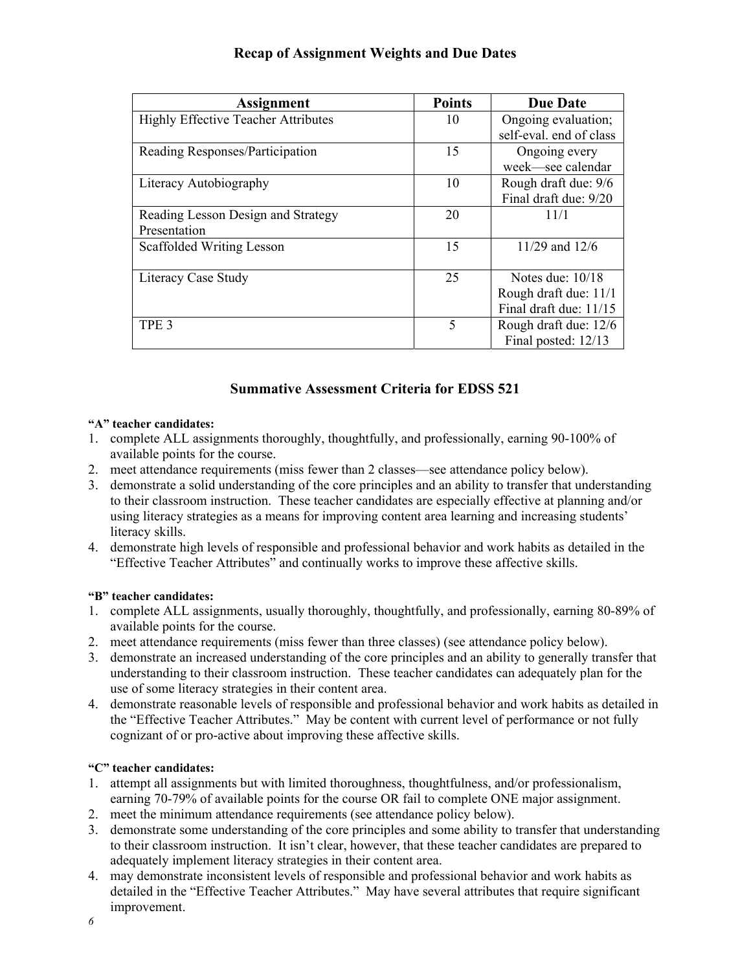|  | <b>Recap of Assignment Weights and Due Dates</b> |
|--|--------------------------------------------------|
|--|--------------------------------------------------|

| <b>Assignment</b>                          | <b>Points</b> | <b>Due Date</b>         |  |  |
|--------------------------------------------|---------------|-------------------------|--|--|
| <b>Highly Effective Teacher Attributes</b> | 10            | Ongoing evaluation;     |  |  |
|                                            |               | self-eval. end of class |  |  |
| Reading Responses/Participation            | 15            | Ongoing every           |  |  |
|                                            |               | week-see calendar       |  |  |
| Literacy Autobiography                     | 10            | Rough draft due: 9/6    |  |  |
|                                            |               | Final draft due: 9/20   |  |  |
| Reading Lesson Design and Strategy         | 20            | 11/1                    |  |  |
| Presentation                               |               |                         |  |  |
| Scaffolded Writing Lesson                  | 15            | 11/29 and 12/6          |  |  |
|                                            |               |                         |  |  |
| Literacy Case Study                        | 25            | Notes due: $10/18$      |  |  |
|                                            |               | Rough draft due: 11/1   |  |  |
|                                            |               | Final draft due: 11/15  |  |  |
| TPE <sub>3</sub>                           | 5             | Rough draft due: 12/6   |  |  |
|                                            |               | Final posted: 12/13     |  |  |

## **Summative Assessment Criteria for EDSS 521**

#### **"A" teacher candidates:**

- 1. complete ALL assignments thoroughly, thoughtfully, and professionally, earning 90-100% of available points for the course.
- 2. meet attendance requirements (miss fewer than 2 classes—see attendance policy below).
- 3. demonstrate a solid understanding of the core principles and an ability to transfer that understanding to their classroom instruction. These teacher candidates are especially effective at planning and/or using literacy strategies as a means for improving content area learning and increasing students' literacy skills.
- 4. demonstrate high levels of responsible and professional behavior and work habits as detailed in the "Effective Teacher Attributes" and continually works to improve these affective skills.

#### **"B" teacher candidates:**

- 1. complete ALL assignments, usually thoroughly, thoughtfully, and professionally, earning 80-89% of available points for the course.
- 2. meet attendance requirements (miss fewer than three classes) (see attendance policy below).
- 3. demonstrate an increased understanding of the core principles and an ability to generally transfer that understanding to their classroom instruction. These teacher candidates can adequately plan for the use of some literacy strategies in their content area.
- 4. demonstrate reasonable levels of responsible and professional behavior and work habits as detailed in the "Effective Teacher Attributes." May be content with current level of performance or not fully cognizant of or pro-active about improving these affective skills.

#### **"C" teacher candidates:**

- 1. attempt all assignments but with limited thoroughness, thoughtfulness, and/or professionalism, earning 70-79% of available points for the course OR fail to complete ONE major assignment.
- 2. meet the minimum attendance requirements (see attendance policy below).
- 3. demonstrate some understanding of the core principles and some ability to transfer that understanding to their classroom instruction. It isn't clear, however, that these teacher candidates are prepared to adequately implement literacy strategies in their content area.
- 4. may demonstrate inconsistent levels of responsible and professional behavior and work habits as detailed in the "Effective Teacher Attributes." May have several attributes that require significant improvement.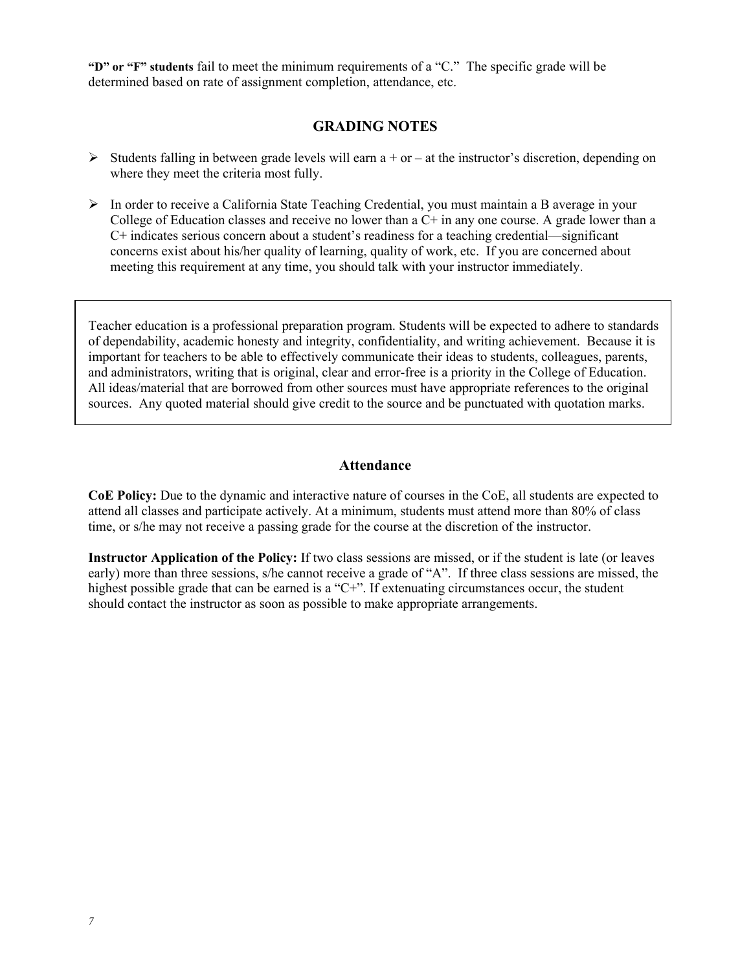**"D" or "F" students** fail to meet the minimum requirements of a "C." The specific grade will be determined based on rate of assignment completion, attendance, etc.

#### **GRADING NOTES**

- $\triangleright$  Students falling in between grade levels will earn a + or at the instructor's discretion, depending on where they meet the criteria most fully.
- ¾ In order to receive a California State Teaching Credential, you must maintain a B average in your College of Education classes and receive no lower than a C+ in any one course. A grade lower than a C+ indicates serious concern about a student's readiness for a teaching credential—significant concerns exist about his/her quality of learning, quality of work, etc. If you are concerned about meeting this requirement at any time, you should talk with your instructor immediately.

Teacher education is a professional preparation program. Students will be expected to adhere to standards of dependability, academic honesty and integrity, confidentiality, and writing achievement. Because it is important for teachers to be able to effectively communicate their ideas to students, colleagues, parents, and administrators, writing that is original, clear and error-free is a priority in the College of Education. All ideas/material that are borrowed from other sources must have appropriate references to the original sources. Any quoted material should give credit to the source and be punctuated with quotation marks.

#### **Attendance**

**CoE Policy:** Due to the dynamic and interactive nature of courses in the CoE, all students are expected to attend all classes and participate actively. At a minimum, students must attend more than 80% of class time, or s/he may not receive a passing grade for the course at the discretion of the instructor.

**Instructor Application of the Policy:** If two class sessions are missed, or if the student is late (or leaves early) more than three sessions, s/he cannot receive a grade of "A". If three class sessions are missed, the highest possible grade that can be earned is a "C+". If extenuating circumstances occur, the student should contact the instructor as soon as possible to make appropriate arrangements.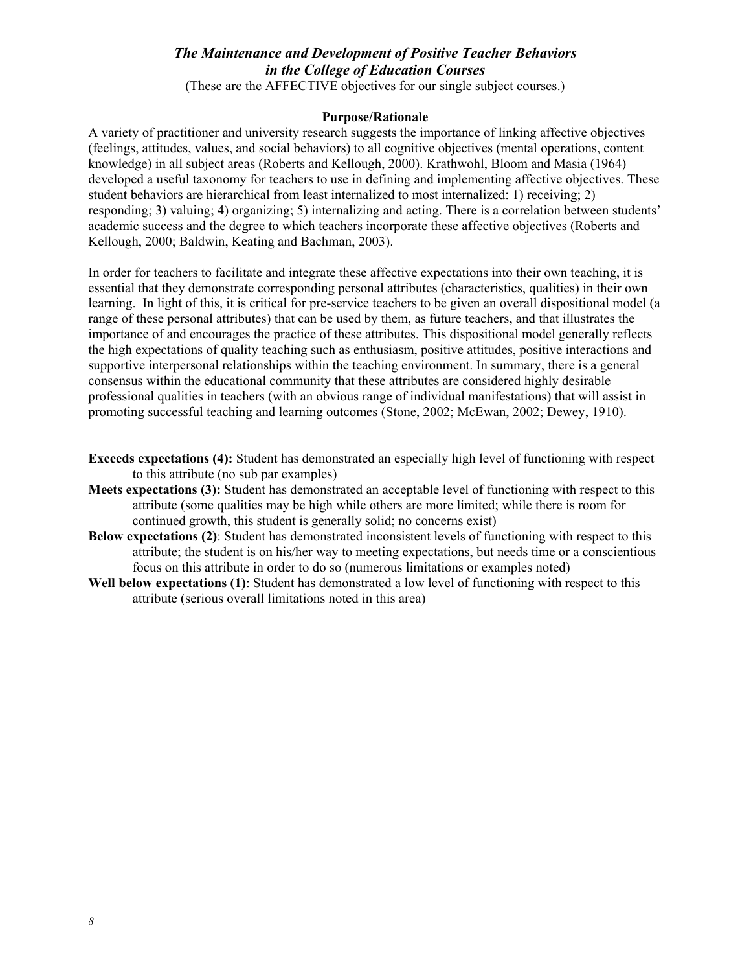## *The Maintenance and Development of Positive Teacher Behaviors in the College of Education Courses*

(These are the AFFECTIVE objectives for our single subject courses.)

#### **Purpose/Rationale**

A variety of practitioner and university research suggests the importance of linking affective objectives (feelings, attitudes, values, and social behaviors) to all cognitive objectives (mental operations, content knowledge) in all subject areas (Roberts and Kellough, 2000). Krathwohl, Bloom and Masia (1964) developed a useful taxonomy for teachers to use in defining and implementing affective objectives. These student behaviors are hierarchical from least internalized to most internalized: 1) receiving; 2) responding; 3) valuing; 4) organizing; 5) internalizing and acting. There is a correlation between students' academic success and the degree to which teachers incorporate these affective objectives (Roberts and Kellough, 2000; Baldwin, Keating and Bachman, 2003).

In order for teachers to facilitate and integrate these affective expectations into their own teaching, it is essential that they demonstrate corresponding personal attributes (characteristics, qualities) in their own learning. In light of this, it is critical for pre-service teachers to be given an overall dispositional model (a range of these personal attributes) that can be used by them, as future teachers, and that illustrates the importance of and encourages the practice of these attributes. This dispositional model generally reflects the high expectations of quality teaching such as enthusiasm, positive attitudes, positive interactions and supportive interpersonal relationships within the teaching environment. In summary, there is a general consensus within the educational community that these attributes are considered highly desirable professional qualities in teachers (with an obvious range of individual manifestations) that will assist in promoting successful teaching and learning outcomes (Stone, 2002; McEwan, 2002; Dewey, 1910).

- **Exceeds expectations (4):** Student has demonstrated an especially high level of functioning with respect to this attribute (no sub par examples)
- **Meets expectations (3):** Student has demonstrated an acceptable level of functioning with respect to this attribute (some qualities may be high while others are more limited; while there is room for continued growth, this student is generally solid; no concerns exist)
- **Below expectations (2)**: Student has demonstrated inconsistent levels of functioning with respect to this attribute; the student is on his/her way to meeting expectations, but needs time or a conscientious focus on this attribute in order to do so (numerous limitations or examples noted)
- **Well below expectations (1)**: Student has demonstrated a low level of functioning with respect to this attribute (serious overall limitations noted in this area)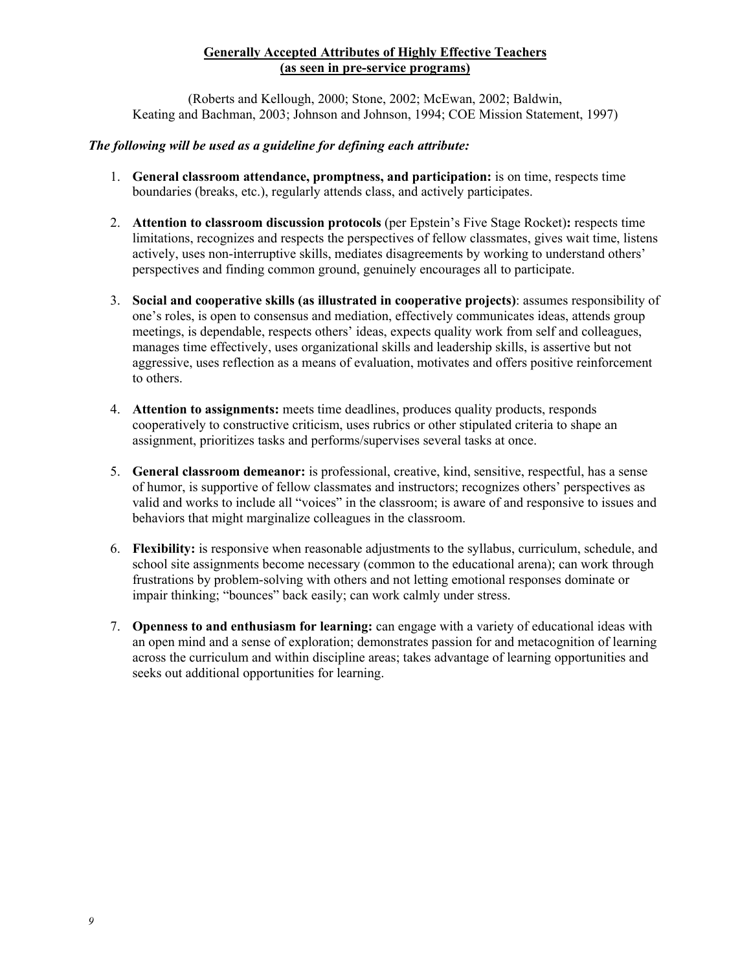#### **Generally Accepted Attributes of Highly Effective Teachers (as seen in pre-service programs)**

(Roberts and Kellough, 2000; Stone, 2002; McEwan, 2002; Baldwin, Keating and Bachman, 2003; Johnson and Johnson, 1994; COE Mission Statement, 1997)

#### *The following will be used as a guideline for defining each attribute:*

- 1. **General classroom attendance, promptness, and participation:** is on time, respects time boundaries (breaks, etc.), regularly attends class, and actively participates.
- 2. **Attention to classroom discussion protocols** (per Epstein's Five Stage Rocket)**:** respects time limitations, recognizes and respects the perspectives of fellow classmates, gives wait time, listens actively, uses non-interruptive skills, mediates disagreements by working to understand others' perspectives and finding common ground, genuinely encourages all to participate.
- 3. **Social and cooperative skills (as illustrated in cooperative projects)**: assumes responsibility of one's roles, is open to consensus and mediation, effectively communicates ideas, attends group meetings, is dependable, respects others' ideas, expects quality work from self and colleagues, manages time effectively, uses organizational skills and leadership skills, is assertive but not aggressive, uses reflection as a means of evaluation, motivates and offers positive reinforcement to others.
- 4. **Attention to assignments:** meets time deadlines, produces quality products, responds cooperatively to constructive criticism, uses rubrics or other stipulated criteria to shape an assignment, prioritizes tasks and performs/supervises several tasks at once.
- 5. **General classroom demeanor:** is professional, creative, kind, sensitive, respectful, has a sense of humor, is supportive of fellow classmates and instructors; recognizes others' perspectives as valid and works to include all "voices" in the classroom; is aware of and responsive to issues and behaviors that might marginalize colleagues in the classroom.
- 6. **Flexibility:** is responsive when reasonable adjustments to the syllabus, curriculum, schedule, and school site assignments become necessary (common to the educational arena); can work through frustrations by problem-solving with others and not letting emotional responses dominate or impair thinking; "bounces" back easily; can work calmly under stress.
- 7. **Openness to and enthusiasm for learning:** can engage with a variety of educational ideas with an open mind and a sense of exploration; demonstrates passion for and metacognition of learning across the curriculum and within discipline areas; takes advantage of learning opportunities and seeks out additional opportunities for learning.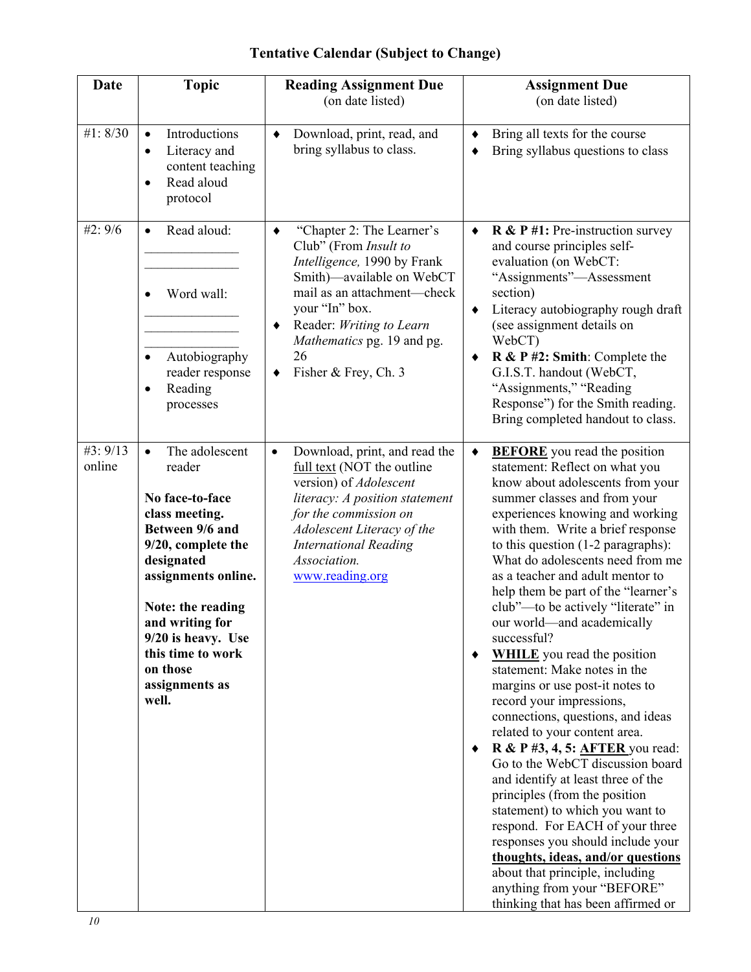## **Tentative Calendar (Subject to Change)**

| Date               | <b>Topic</b>                                                                                                                                                                                                                                                                       | <b>Reading Assignment Due</b><br>(on date listed)                                                                                                                                                                                                                      | <b>Assignment Due</b><br>(on date listed)                                                                                                                                                                                                                                                                                                                                                                                                                                                                                                                                                                                                                                                                                                                                                                                                                                                                                                                                                                                                                                                                                             |  |
|--------------------|------------------------------------------------------------------------------------------------------------------------------------------------------------------------------------------------------------------------------------------------------------------------------------|------------------------------------------------------------------------------------------------------------------------------------------------------------------------------------------------------------------------------------------------------------------------|---------------------------------------------------------------------------------------------------------------------------------------------------------------------------------------------------------------------------------------------------------------------------------------------------------------------------------------------------------------------------------------------------------------------------------------------------------------------------------------------------------------------------------------------------------------------------------------------------------------------------------------------------------------------------------------------------------------------------------------------------------------------------------------------------------------------------------------------------------------------------------------------------------------------------------------------------------------------------------------------------------------------------------------------------------------------------------------------------------------------------------------|--|
| #1:8/30            | Introductions<br>$\bullet$<br>Literacy and<br>$\bullet$<br>content teaching<br>Read aloud<br>$\bullet$<br>protocol                                                                                                                                                                 | Download, print, read, and<br>٠<br>bring syllabus to class.                                                                                                                                                                                                            | Bring all texts for the course<br>٠<br>Bring syllabus questions to class<br>٠                                                                                                                                                                                                                                                                                                                                                                                                                                                                                                                                                                                                                                                                                                                                                                                                                                                                                                                                                                                                                                                         |  |
| #2:9/6             | Read aloud:<br>$\bullet$<br>Word wall:<br>Autobiography<br>$\bullet$<br>reader response<br>Reading<br>٠<br>processes                                                                                                                                                               | "Chapter 2: The Learner's<br>٠<br>Club" (From Insult to<br>Intelligence, 1990 by Frank<br>Smith)—available on WebCT<br>mail as an attachment—check<br>your "In" box.<br>Reader: Writing to Learn<br>٠<br>Mathematics pg. 19 and pg.<br>26<br>Fisher & Frey, Ch. 3<br>٠ | $\bf{R} \& \bf{P} \#1$ : Pre-instruction survey<br>$\bullet$<br>and course principles self-<br>evaluation (on WebCT:<br>"Assignments"—Assessment<br>section)<br>Literacy autobiography rough draft<br>٠<br>(see assignment details on<br>WebCT)<br>$R & P #2$ : Smith: Complete the<br>$\bullet$<br>G.I.S.T. handout (WebCT,<br>"Assignments," "Reading<br>Response") for the Smith reading.<br>Bring completed handout to class.                                                                                                                                                                                                                                                                                                                                                                                                                                                                                                                                                                                                                                                                                                     |  |
| #3: 9/13<br>online | The adolescent<br>$\bullet$<br>reader<br>No face-to-face<br>class meeting.<br>Between 9/6 and<br>9/20, complete the<br>designated<br>assignments online.<br>Note: the reading<br>and writing for<br>9/20 is heavy. Use<br>this time to work<br>on those<br>assignments as<br>well. | Download, print, and read the<br>$\bullet$<br>full text (NOT the outline<br>version) of Adolescent<br>literacy: A position statement<br>for the commission on<br>Adolescent Literacy of the<br><b>International Reading</b><br>Association.<br>www.reading.org         | <b>BEFORE</b> you read the position<br>$\blacklozenge$<br>statement: Reflect on what you<br>know about adolescents from your<br>summer classes and from your<br>experiences knowing and working<br>with them. Write a brief response<br>to this question $(1-2 \text{ paragraphs})$ :<br>What do adolescents need from me<br>as a teacher and adult mentor to<br>help them be part of the "learner's<br>club"—to be actively "literate" in<br>our world—and academically<br>successful?<br><b>WHILE</b> you read the position<br>$\bullet$<br>statement: Make notes in the<br>margins or use post-it notes to<br>record your impressions,<br>connections, questions, and ideas<br>related to your content area.<br><b>R &amp; P #3, 4, 5: AFTER</b> you read:<br>٠<br>Go to the WebCT discussion board<br>and identify at least three of the<br>principles (from the position<br>statement) to which you want to<br>respond. For EACH of your three<br>responses you should include your<br>thoughts, ideas, and/or questions<br>about that principle, including<br>anything from your "BEFORE"<br>thinking that has been affirmed or |  |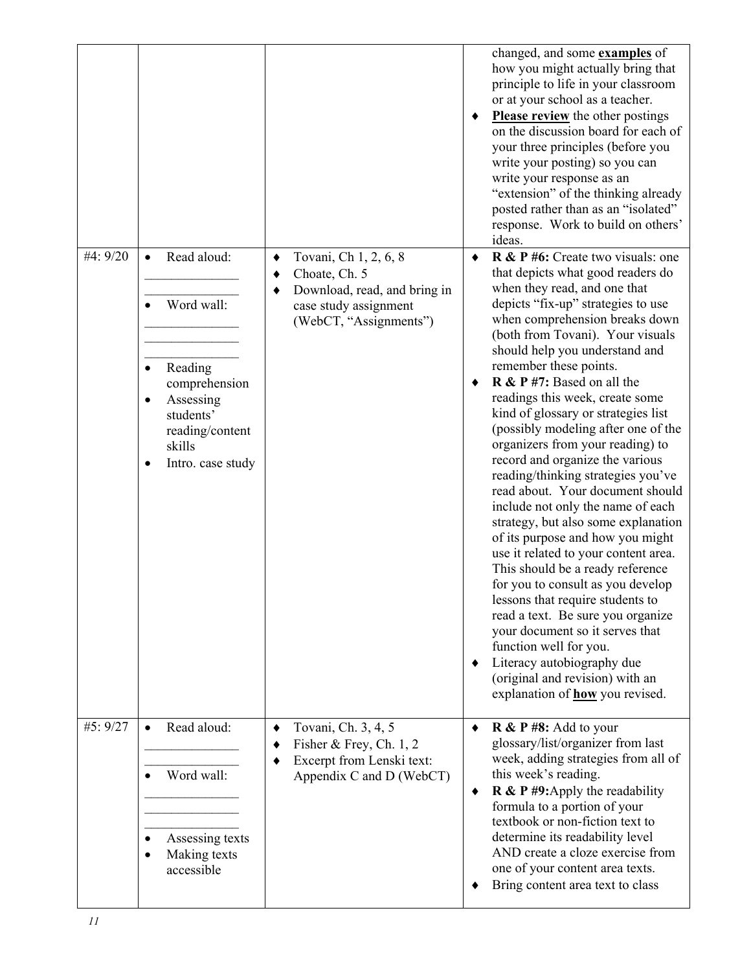|          |                                                                                                                                                                                    |                                                                                                                                          | changed, and some <b>examples</b> of<br>how you might actually bring that<br>principle to life in your classroom<br>or at your school as a teacher.<br><b>Please review</b> the other postings<br>٠<br>on the discussion board for each of<br>your three principles (before you<br>write your posting) so you can<br>write your response as an<br>"extension" of the thinking already<br>posted rather than as an "isolated"<br>response. Work to build on others'<br>ideas.                                                                                                                                                                                                                                                                                                                                                                                                                                                                                                                                                                                                              |
|----------|------------------------------------------------------------------------------------------------------------------------------------------------------------------------------------|------------------------------------------------------------------------------------------------------------------------------------------|-------------------------------------------------------------------------------------------------------------------------------------------------------------------------------------------------------------------------------------------------------------------------------------------------------------------------------------------------------------------------------------------------------------------------------------------------------------------------------------------------------------------------------------------------------------------------------------------------------------------------------------------------------------------------------------------------------------------------------------------------------------------------------------------------------------------------------------------------------------------------------------------------------------------------------------------------------------------------------------------------------------------------------------------------------------------------------------------|
| #4: 9/20 | Read aloud:<br>$\bullet$<br>Word wall:<br>$\bullet$<br>Reading<br>$\bullet$<br>comprehension<br>Assessing<br>٠<br>students'<br>reading/content<br>skills<br>Intro. case study<br>٠ | Tovani, Ch 1, 2, 6, 8<br>٠<br>Choate, Ch. 5<br>٠<br>Download, read, and bring in<br>٠<br>case study assignment<br>(WebCT, "Assignments") | R & P #6: Create two visuals: one<br>٠<br>that depicts what good readers do<br>when they read, and one that<br>depicts "fix-up" strategies to use<br>when comprehension breaks down<br>(both from Tovani). Your visuals<br>should help you understand and<br>remember these points.<br>$\bf{R} \& \bf{P} \#7$ : Based on all the<br>readings this week, create some<br>kind of glossary or strategies list<br>(possibly modeling after one of the<br>organizers from your reading) to<br>record and organize the various<br>reading/thinking strategies you've<br>read about. Your document should<br>include not only the name of each<br>strategy, but also some explanation<br>of its purpose and how you might<br>use it related to your content area.<br>This should be a ready reference<br>for you to consult as you develop<br>lessons that require students to<br>read a text. Be sure you organize<br>your document so it serves that<br>function well for you.<br>Literacy autobiography due<br>٠<br>(original and revision) with an<br>explanation of <b>how</b> you revised. |
| #5: 9/27 | Read aloud:<br>$\bullet$<br>Word wall:<br>$\bullet$<br>Assessing texts<br>$\bullet$<br>Making texts<br>$\bullet$<br>accessible                                                     | Tovani, Ch. 3, 4, 5<br>٠<br>Fisher & Frey, Ch. $1, 2$<br>٠<br>Excerpt from Lenski text:<br>٠<br>Appendix C and D (WebCT)                 | $R \& P \# 8$ : Add to your<br>٠<br>glossary/list/organizer from last<br>week, adding strategies from all of<br>this week's reading.<br>$\bf{R} \& \bf{P} \#9$ : Apply the readability<br>٠<br>formula to a portion of your<br>textbook or non-fiction text to<br>determine its readability level<br>AND create a cloze exercise from<br>one of your content area texts.<br>Bring content area text to class                                                                                                                                                                                                                                                                                                                                                                                                                                                                                                                                                                                                                                                                              |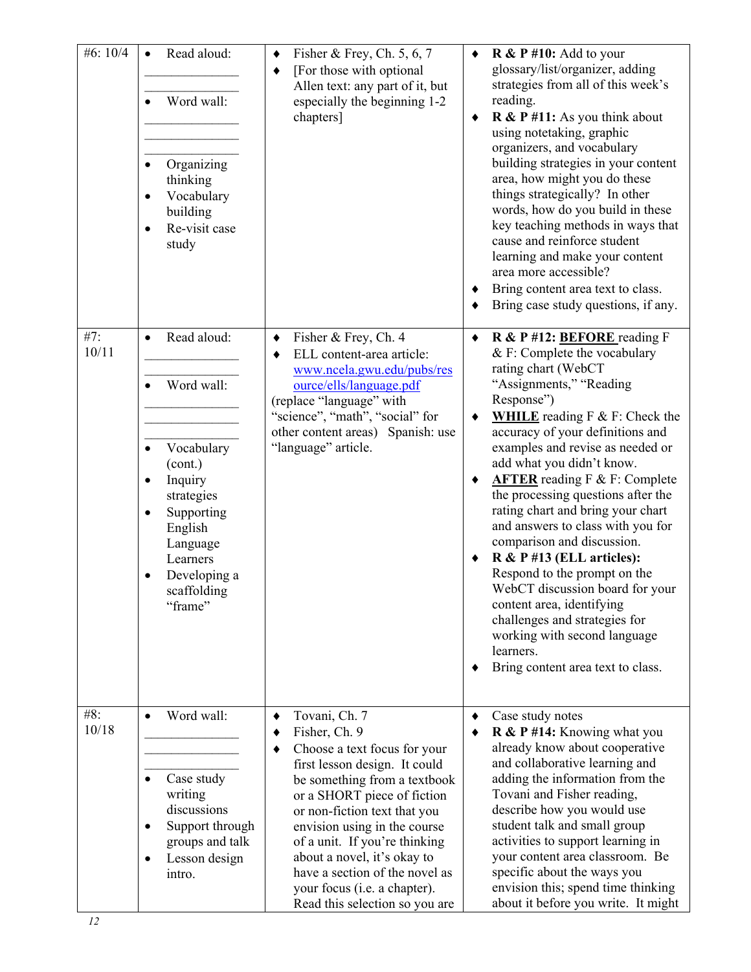| #6: 10/4     | Read aloud:<br>$\bullet$<br>Word wall:<br>Organizing<br>thinking<br>Vocabulary<br>building<br>Re-visit case<br>study                                                                             | Fisher & Frey, Ch. $5, 6, 7$<br>٠<br>[For those with optional]<br>٠<br>Allen text: any part of it, but<br>especially the beginning 1-2<br>chapters]                                                                                                                                                                                                                                                               | $\bf{R} \& \bf{P} \# 10$ : Add to your<br>٠<br>glossary/list/organizer, adding<br>strategies from all of this week's<br>reading.<br>$\bf{R} \& \bf{P} \# 11$ : As you think about<br>٠<br>using notetaking, graphic<br>organizers, and vocabulary<br>building strategies in your content<br>area, how might you do these<br>things strategically? In other<br>words, how do you build in these<br>key teaching methods in ways that<br>cause and reinforce student<br>learning and make your content<br>area more accessible?<br>Bring content area text to class.<br>Bring case study questions, if any.                                                                                                                          |
|--------------|--------------------------------------------------------------------------------------------------------------------------------------------------------------------------------------------------|-------------------------------------------------------------------------------------------------------------------------------------------------------------------------------------------------------------------------------------------------------------------------------------------------------------------------------------------------------------------------------------------------------------------|------------------------------------------------------------------------------------------------------------------------------------------------------------------------------------------------------------------------------------------------------------------------------------------------------------------------------------------------------------------------------------------------------------------------------------------------------------------------------------------------------------------------------------------------------------------------------------------------------------------------------------------------------------------------------------------------------------------------------------|
| #7:<br>10/11 | Read aloud:<br>$\bullet$<br>Word wall:<br>Vocabulary<br>$\bullet$<br>(cont.)<br>Inquiry<br>strategies<br>Supporting<br>English<br>Language<br>Learners<br>Developing a<br>scaffolding<br>"frame" | Fisher & Frey, Ch. 4<br>$\blacklozenge$<br>ELL content-area article:<br>٠<br>www.ncela.gwu.edu/pubs/res<br>ource/ells/language.pdf<br>(replace "language" with<br>"science", "math", "social" for<br>other content areas) Spanish: use<br>"language" article.                                                                                                                                                     | R & P #12: BEFORE reading F<br>$\bullet$<br>$&$ F: Complete the vocabulary<br>rating chart (WebCT<br>"Assignments," "Reading<br>Response")<br><b>WHILE</b> reading $F \& F$ : Check the<br>accuracy of your definitions and<br>examples and revise as needed or<br>add what you didn't know.<br><b>AFTER</b> reading F & F: Complete<br>the processing questions after the<br>rating chart and bring your chart<br>and answers to class with you for<br>comparison and discussion.<br>R & P #13 (ELL articles):<br>Respond to the prompt on the<br>WebCT discussion board for your<br>content area, identifying<br>challenges and strategies for<br>working with second language<br>learners.<br>Bring content area text to class. |
| #8:<br>10/18 | Word wall:<br>$\bullet$<br>Case study<br>$\bullet$<br>writing<br>discussions<br>Support through<br>٠<br>groups and talk<br>Lesson design<br>٠<br>intro.                                          | Tovani, Ch. 7<br>٠<br>Fisher, Ch. 9<br>٠<br>Choose a text focus for your<br>٠<br>first lesson design. It could<br>be something from a textbook<br>or a SHORT piece of fiction<br>or non-fiction text that you<br>envision using in the course<br>of a unit. If you're thinking<br>about a novel, it's okay to<br>have a section of the novel as<br>your focus (i.e. a chapter).<br>Read this selection so you are | Case study notes<br>R & P #14: Knowing what you<br>already know about cooperative<br>and collaborative learning and<br>adding the information from the<br>Tovani and Fisher reading,<br>describe how you would use<br>student talk and small group<br>activities to support learning in<br>your content area classroom. Be<br>specific about the ways you<br>envision this; spend time thinking<br>about it before you write. It might                                                                                                                                                                                                                                                                                             |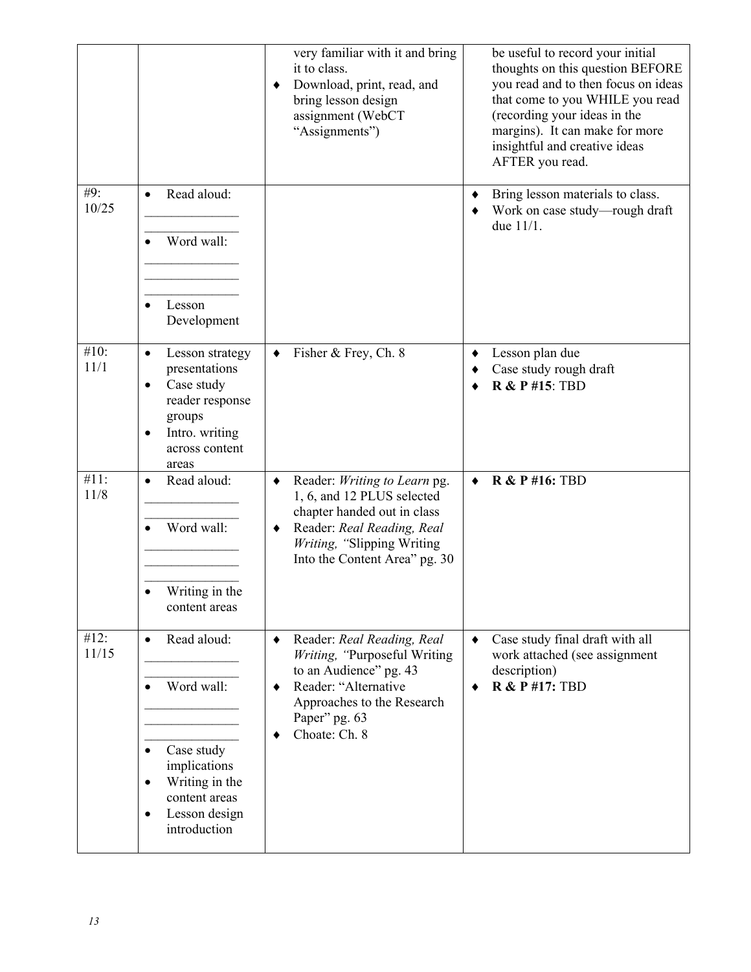|               |                                                                                                                                                                 | very familiar with it and bring<br>it to class.<br>Download, print, read, and<br>٠<br>bring lesson design<br>assignment (WebCT<br>"Assignments")                                                 | be useful to record your initial<br>thoughts on this question BEFORE<br>you read and to then focus on ideas<br>that come to you WHILE you read<br>(recording your ideas in the<br>margins). It can make for more<br>insightful and creative ideas<br>AFTER you read. |
|---------------|-----------------------------------------------------------------------------------------------------------------------------------------------------------------|--------------------------------------------------------------------------------------------------------------------------------------------------------------------------------------------------|----------------------------------------------------------------------------------------------------------------------------------------------------------------------------------------------------------------------------------------------------------------------|
| #9:<br>10/25  | Read aloud:<br>$\bullet$<br>Word wall:<br>Lesson<br>$\bullet$<br>Development                                                                                    |                                                                                                                                                                                                  | Bring lesson materials to class.<br>٠<br>Work on case study-rough draft<br>٠<br>due $11/1$ .                                                                                                                                                                         |
| #10:<br>11/1  | Lesson strategy<br>$\bullet$<br>presentations<br>Case study<br>$\bullet$<br>reader response<br>groups<br>Intro. writing<br>$\bullet$<br>across content<br>areas | Fisher & Frey, Ch. 8<br>٠                                                                                                                                                                        | Lesson plan due<br>٠<br>Case study rough draft<br><b>R &amp; P #15: TBD</b>                                                                                                                                                                                          |
| #11:<br>11/8  | Read aloud:<br>$\bullet$<br>Word wall:<br>Writing in the<br>content areas                                                                                       | Reader: Writing to Learn pg.<br>٠<br>1, 6, and 12 PLUS selected<br>chapter handed out in class<br>Reader: Real Reading, Real<br>٠<br>Writing, "Slipping Writing<br>Into the Content Area" pg. 30 | <b>R &amp; P #16: TBD</b><br>٠                                                                                                                                                                                                                                       |
| #12:<br>11/15 | Read aloud:<br>$\bullet$<br>Word wall:<br>Case study<br>implications<br>Writing in the<br>٠<br>content areas<br>Lesson design<br>$\bullet$<br>introduction      | Reader: Real Reading, Real<br>٠<br>Writing, "Purposeful Writing<br>to an Audience" pg. 43<br>Reader: "Alternative<br>٠<br>Approaches to the Research<br>Paper" pg. 63<br>Choate: Ch. 8<br>٠      | Case study final draft with all<br>$\bullet$<br>work attached (see assignment<br>description)<br><b>R &amp; P #17: TBD</b>                                                                                                                                           |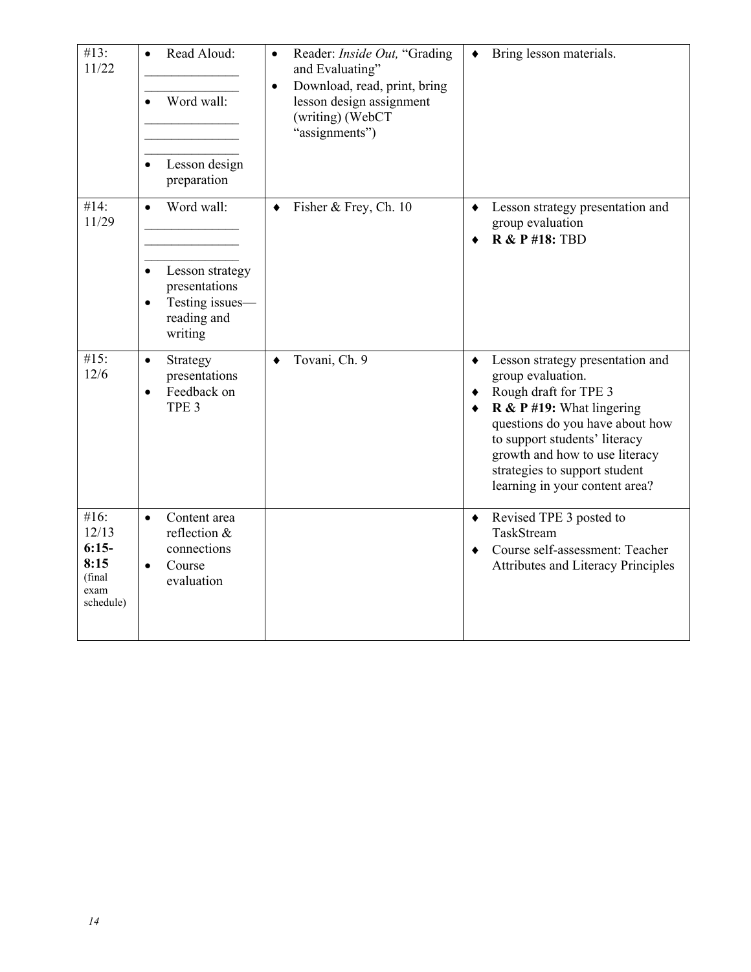| #13:<br>11/22                                                    | Read Aloud:<br>$\bullet$<br>Word wall:<br>$\bullet$<br>Lesson design<br>$\bullet$<br>preparation                                   | Reader: Inside Out, "Grading<br>$\bullet$<br>and Evaluating"<br>Download, read, print, bring<br>$\bullet$<br>lesson design assignment<br>(writing) (WebCT<br>"assignments") | Bring lesson materials.<br>$\bullet$                                                                                                                                                                                                                                                                                        |
|------------------------------------------------------------------|------------------------------------------------------------------------------------------------------------------------------------|-----------------------------------------------------------------------------------------------------------------------------------------------------------------------------|-----------------------------------------------------------------------------------------------------------------------------------------------------------------------------------------------------------------------------------------------------------------------------------------------------------------------------|
| #14:<br>11/29                                                    | Word wall:<br>$\bullet$<br>Lesson strategy<br>$\bullet$<br>presentations<br>Testing issues-<br>$\bullet$<br>reading and<br>writing | Fisher & Frey, Ch. 10<br>$\bullet$                                                                                                                                          | Lesson strategy presentation and<br>$\bullet$<br>group evaluation<br><b>R &amp; P #18: TBD</b><br>$\bullet$                                                                                                                                                                                                                 |
| #15:<br>12/6                                                     | Strategy<br>$\bullet$<br>presentations<br>Feedback on<br>$\bullet$<br>TPE <sub>3</sub>                                             | Tovani, Ch. 9<br>$\bullet$                                                                                                                                                  | Lesson strategy presentation and<br>$\bullet$<br>group evaluation.<br>Rough draft for TPE 3<br>٠<br>$\bf{R} \& \bf{P} \# 19$ : What lingering<br>٠<br>questions do you have about how<br>to support students' literacy<br>growth and how to use literacy<br>strategies to support student<br>learning in your content area? |
| #16:<br>12/13<br>$6:15-$<br>8:15<br>(final)<br>exam<br>schedule) | Content area<br>$\bullet$<br>reflection $&$<br>connections<br>Course<br>$\bullet$<br>evaluation                                    |                                                                                                                                                                             | Revised TPE 3 posted to<br>٠<br>TaskStream<br>Course self-assessment: Teacher<br>$\bullet$<br><b>Attributes and Literacy Principles</b>                                                                                                                                                                                     |